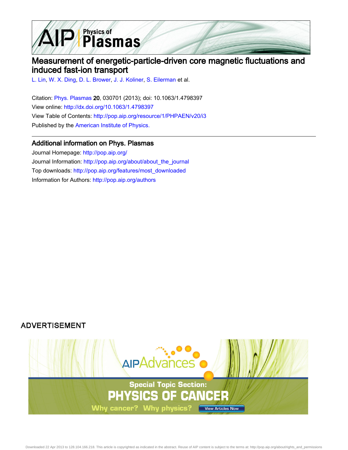

## Measurement of energetic-particle-driven core magnetic fluctuations and induced fast-ion transport

[L. Lin](http://pop.aip.org/search?sortby=newestdate&q=&searchzone=2&searchtype=searchin&faceted=faceted&key=AIP_ALL&possible1=L. Lin&possible1zone=author&alias=&displayid=AIP&ver=pdfcov), [W. X. Ding,](http://pop.aip.org/search?sortby=newestdate&q=&searchzone=2&searchtype=searchin&faceted=faceted&key=AIP_ALL&possible1=W. X. Ding&possible1zone=author&alias=&displayid=AIP&ver=pdfcov) [D. L. Brower,](http://pop.aip.org/search?sortby=newestdate&q=&searchzone=2&searchtype=searchin&faceted=faceted&key=AIP_ALL&possible1=D. L. Brower&possible1zone=author&alias=&displayid=AIP&ver=pdfcov) [J. J. Koliner](http://pop.aip.org/search?sortby=newestdate&q=&searchzone=2&searchtype=searchin&faceted=faceted&key=AIP_ALL&possible1=J. J. Koliner&possible1zone=author&alias=&displayid=AIP&ver=pdfcov), [S. Eilerman](http://pop.aip.org/search?sortby=newestdate&q=&searchzone=2&searchtype=searchin&faceted=faceted&key=AIP_ALL&possible1=S. Eilerman&possible1zone=author&alias=&displayid=AIP&ver=pdfcov) et al.

Citation: [Phys. Plasmas](http://pop.aip.org/?ver=pdfcov) 20, 030701 (2013); doi: 10.1063/1.4798397 View online: [http://dx.doi.org/10.1063/1.4798397](http://link.aip.org/link/doi/10.1063/1.4798397?ver=pdfcov) View Table of Contents: [http://pop.aip.org/resource/1/PHPAEN/v20/i3](http://pop.aip.org/resource/1/PHPAEN/v20/i3?ver=pdfcov) Published by the [American Institute of Physics.](http://www.aip.org/?ver=pdfcov)

## Additional information on Phys. Plasmas

Journal Homepage: [http://pop.aip.org/](http://pop.aip.org/?ver=pdfcov) Journal Information: [http://pop.aip.org/about/about\\_the\\_journal](http://pop.aip.org/about/about_the_journal?ver=pdfcov) Top downloads: [http://pop.aip.org/features/most\\_downloaded](http://pop.aip.org/features/most_downloaded?ver=pdfcov) Information for Authors: [http://pop.aip.org/authors](http://pop.aip.org/authors?ver=pdfcov)

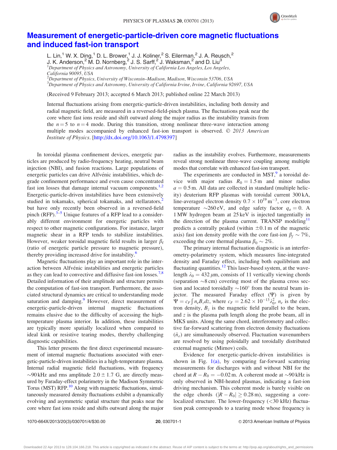

## [Measurement of energetic-particle-driven core magnetic fluctuations](http://dx.doi.org/10.1063/1.4798397) [and induced fast-ion transport](http://dx.doi.org/10.1063/1.4798397)

L. Lin,<sup>1</sup> W. X. Ding,<sup>1</sup> D. L. Brower,<sup>1</sup> J. J. Koliner,<sup>2</sup> S. Eilerman,<sup>2</sup> J. A. Reusch,<sup>2</sup> J. K. Anderson,<sup>2</sup> M. D. Nornberg,<sup>2</sup> J. S. Sarff,<sup>2</sup> J. Waksman,<sup>2</sup> and D. Liu<sup>3</sup> <sup>1</sup>Department of Physics and Astronomy, University of California Los Angeles, Los Angeles, California 90095, USA  $^2$ Department of Physics, University of Wisconsin–Madison, Madison, Wisconsin 53706, USA <sup>3</sup>Department of Physics and Astronomy, University of California Irvine, Irvine, California 92697, USA

(Received 9 February 2013; accepted 6 March 2013; published online 22 March 2013)

Internal fluctuations arising from energetic-particle-driven instabilities, including both density and radial magnetic field, are measured in a reversed-field-pinch plasma. The fluctuations peak near the core where fast ions reside and shift outward along the major radius as the instability transits from the  $n = 5$  to  $n = 4$  mode. During this transition, strong nonlinear three-wave interaction among multiple modes accompanied by enhanced fast-ion transport is observed.  $\odot$  2013 American Institute of Physics. [<http://dx.doi.org/10.1063/1.4798397>]

In toroidal plasma confinement devices, energetic particles are produced by radio-frequency heating, neutral beam injection (NBI), and fusion reactions. Large populations of energetic particles can drive Alfvénic instabilities, which degrade confinement performance and even cause concentrated fast ion losses that damage internal vacuum components. $1,2$  $1,2$  $1,2$ Energetic-particle-driven instabilities have been extensively studied in tokamaks, spherical tokamaks, and stellarators,<sup>[2](#page-4-0)</sup> but have only recently been observed in a reversed-field pinch (RFP). $3-5$  Unique features of a RFP lead to a considerably different environment for energetic particles with respect to other magnetic configurations. For instance, larger magnetic shear in a RFP tends to stabilize instabilities. However, weaker toroidal magnetic field results in larger  $\beta_f$ (ratio of energetic particle pressure to magnetic pressure), thereby providing increased drive for instability.<sup>6</sup>

Magnetic fluctuations play an important role in the interaction between Alfvénic instabilities and energetic particles as they can lead to convective and diffusive fast-ion losses.<sup>[7,8](#page-4-0)</sup> Detailed information of their amplitude and structure permits the computation of fast-ion transport. Furthermore, the associated structural dynamics are critical to understanding mode saturation and damping.<sup>[9](#page-4-0)</sup> However, direct measurement of energetic-particle-driven internal magnetic fluctuations remains elusive due to the difficulty of accessing the hightemperature plasma interior. In addition, these instabilities are typically more spatially localized when compared to ideal kink or resistive tearing modes, thereby challenging diagnostic capabilities.

This letter presents the first direct experimental measurement of internal magnetic fluctuations associated with energetic-particle-driven instabilities in a high-temperature plasma. Internal radial magnetic field fluctuations, with frequency  $\sim$ 90 kHz and rms amplitude 2.0  $\pm$  1.7 G, are directly measured by Faraday-effect polarimetry in the Madison Symmetric Torus (MST) RFP.<sup>10</sup> Along with magnetic fluctuations, simultaneously measured density fluctuations exhibit a dynamically evolving and asymmetric spatial structure that peaks near the core where fast ions reside and shifts outward along the major radius as the instability evolves. Furthermore, measurements reveal strong nonlinear three-wave coupling among multiple modes that correlate with enhanced fast-ion transport.

The experiments are conducted in  $MST$ , a toroidal device with major radius  $R_0 = 1.5$  m and minor radius  $a = 0.5$  m. All data are collected in standard (multiple helicity) deuterium RFP plasmas with toroidal current 300 kA, line-averaged electron density  $0.7 \times 10^{19}$  m<sup>-3</sup>, core electron temperature  $\sim 260 \text{ eV}$ , and edge safety factor  $q_a = 0$ . A 1 MW hydrogen beam at 25 keV is injected tangentially in the direction of the plasma current. TRANSP modeling<sup>[11](#page-4-0)</sup> predicts a centrally peaked (within  $\pm 0.1$  m of the magnetic axis) fast ion density profile with the core fast-ion  $\beta_f \sim 7\%$ , exceeding the core thermal plasma  $\beta_0 \sim 2\%$ .

The primary internal fluctuation diagnostic is an interferometry-polarimetry system, which measures line-integrated density and Faraday effect, including both equilibrium and fluctuating quantities.<sup>[12](#page-4-0)</sup> This laser-based system, at the wavelength  $\lambda_0 = 432 \,\mu$ m, consists of 11 vertically viewing chords (separation  $\sim8$  cm) covering most of the plasma cross section and located toroidally  $\sim 160^\circ$  from the neutral beam injector. The measured Faraday effect  $(\Psi)$  is given by  $\Psi = c_F \int n_e B_z dz$ , where  $c_F = 2.62 \times 10^{-13} \lambda_0^2$ ,  $n_e$  is the electron density,  $B_z$  is the magnetic field parallel to the beam, and z is the plasma path length along the probe beam, all in MKS units. Along the same chord, interferometry and collective far-forward scattering from electron density fluctuations  $(\tilde{n}_e)$  are simultaneously observed. Fluctuation wavenumbers are resolved by using poloidally and toroidally distributed external magnetic (Mirnov) coils.

Evidence for energetic-particle-driven instabilities is shown in Fig.  $1(a)$ , by comparing far-forward scattering measurements for discharges with and without NBI for the chord at  $R - R_0 = -0.02$  m. A coherent mode at  $\sim$ 90 kHz is only observed in NBI-heated plasmas, indicating a fast-ion driving mechanism. This coherent mode is barely visible on the edge chords  $(|R - R_0| \ge 0.28 \,\text{m})$ , suggesting a corelocalized structure. The lower-frequency  $( $30 \text{ kHz}$ )$  fluctuation peak corresponds to a tearing mode whose frequency is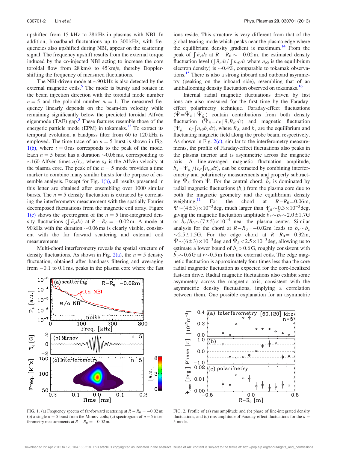<span id="page-2-0"></span>upshifted from 15 kHz to 28 kHz in plasmas with NBI. In addition, broadband fluctuations up to 300 kHz, with frequencies also upshifted during NBI, appear on the scattering signal. The frequency upshift results from the external torque induced by the co-injected NBI acting to increase the core toroidal flow from 28 km/s to 45 km/s, thereby Dopplershifting the frequency of measured fluctuations.

The NBI-driven mode at  $\sim$ 90 kHz is also detected by the external magnetic coils. $\overline{5}$  $\overline{5}$  $\overline{5}$  The mode is bursty and rotates in the beam injection direction with the toroidal mode number  $n = 5$  and the poloidal number  $m = 1$ . The measured frequency linearly depends on the beam-ion velocity while remaining significantly below the predicted toroidal Alfvén eigenmode (TAE) gap. $\overline{5}$  $\overline{5}$  $\overline{5}$  These features resemble those of the energetic particle mode (EPM) in tokamaks.<sup>13</sup> To extract its temporal evolution, a bandpass filter from 60 to 120 kHz is employed. The time trace of an  $n = 5$  burst is shown in Fig.  $1(b)$ , where  $t = 0$  ms corresponds to the peak of the mode. Each  $n = 5$  burst has a duration  $\sim 0.06$  ms, corresponding to ~160 Alfvén times  $a/v_A$ , where  $v_A$  is the Alfvèn velocity at the plasma core. The peak of the  $n = 5$  mode provides a time marker to combine many similar bursts for the purpose of ensemble analysis. Except for Fig. 1(b), all results presented in this letter are obtained after ensembling over 1000 similar bursts. The  $n = 5$  density fluctuation is extracted by correlating the interferometry measurement with the spatially Fourier decomposed fluctuations from the magnetic coil array. Figure  $1(c)$  shows the spectrogram of the  $n = 5$  line-integrated density fluctuations ( $\int \tilde{n}_e dz$ ) at  $R - R_0 = -0.02$  m. A mode at 90 kHz with the duration  $\sim 0.06$  ms is clearly visible, consistent with the far forward scattering and external coil measurements.

Multi-chord interferometry reveals the spatial structure of density fluctuations. As shown in Fig. 2(a), the  $n = 5$  density fluctuation, obtained after bandpass filtering and averaging from  $-0.1$  to 0.1 ms, peaks in the plasma core where the fast



FIG. 1. (a) Frequency spectra of far-forward scattering at  $R - R_0 = -0.02$  m; (b) a single  $n = 5$  burst from the Mirnov coils; (c) spectrogram of  $n = 5$  interferometry measurements at  $R - R_0 = -0.02$  m.

ions reside. This structure is very different from that of the global tearing mode which peaks near the plasma edge where the equilibrium density gradient is maximum.<sup>14</sup> From the peak of  $\int \tilde{n}_e dz$  at  $R - R_0 \sim -0.02$  m, the estimated density fluctuation level  $\int \tilde{n}_e dz / \int n_{e0} dz$  where  $n_{e0}$  is the equilibrium electron density) is  $\sim 0.4\%$ , comparable to tokamak observations.<sup>15</sup> There is also a strong inboard and outboard asymmetry (peaking on the inboard side), resembling that of an antiballooning density fluctuation observed on tokamaks.<sup>16</sup>

Internal radial magnetic fluctuations driven by fast ions are also measured for the first time by the Faradayeffect polarimetry technique. Faraday-effect fluctuations  $(\tilde{\Psi} = \tilde{\Psi}_{\tilde{n}} + \tilde{\Psi}_{\tilde{b}})$  contain contributions from both density fluctuation  $(\tilde{\Psi}_{\tilde{n}} = c_F \int \tilde{n}_e B_z dZ)$  and magnetic fluctuation  $(\tilde{\Psi}_{\tilde{b}_z} = c_F \int n_e \omega \tilde{b}_z dz)$ , where  $B_{z0}$  and  $\tilde{b}_z$  are the equilibrium and fluctuating magnetic field along the probe beam, respectively. As shown in Fig. 2(c), similar to the interferometry measurements, the profile of Faraday-effect fluctuations also peaks in the plasma interior and is asymmetric across the magnetic axis. A line-averaged magnetic fluctuation amplitude,  $\tilde{b}_z = \tilde{\Psi}_{\tilde{b}_z}/(c_F \int n_{e0} dz)$ , can be extracted by combining interferometry and polarimetry measurements and properly subtracting  $\tilde{\Psi}_{\tilde{n}}$  from  $\tilde{\Psi}$ . For the central chord,  $\tilde{b}_z$  is dominated by radial magnetic fluctuations  $(b<sub>r</sub>)$  from the plasma core due to both the magnetic geometry and the equilibrium density weighting.<sup>[11](#page-4-0)</sup> For the chord at  $R-R_0=0.06$ m,  $\tilde{\Psi}$  ~ (4 ± 3) × 10<sup>-3</sup> deg, much larger than  $\tilde{\Psi}_{\tilde{n}}$  ~ 0.3 × 10<sup>-3</sup> deg, giving the magnetic fluctuation amplitude  $\overline{\tilde{b}}_r \sim \overline{\tilde{b}}_z \sim 2.0 \pm 1.7G$ or  $\vec{b}_r/B_0 \sim (7\pm 5) \times 10^{-4}$  near the plasma center. Similar analysis for the chord at  $R-R_0 = -0.02$ m leads to  $b_r \sim b_2$  $\sim$ 2.5±1.5G. For the edge chord at  $R-R_0$ =-0.32m,  $\tilde{\Psi}$  ~ (6 ± 3) × 10<sup>-3</sup> deg and  $\tilde{\Psi}_{\tilde{n}}$  < 2.5 × 10<sup>-3</sup> deg, allowing us to estimate a lower bound of  $b_z > 0.6$  G, roughly consistent with  $\tilde{b}_{\theta}$  ~ 0.6 G at  $r$  ~ 0.5 m from the external coils. The edge magnetic fluctuation is approximately four times less than the core radial magnetic fluctuation as expected for the core-localized fast-ion drive. Radial magnetic fluctuations also exhibit some asymmetry across the magnetic axis, consistent with the asymmetric density fluctuations, implying a correlation between them. One possible explanation for an asymmetric



FIG. 2. Profile of (a) rms amplitude and (b) phase of line-integrated density fluctuations, and (c) rms amplitude of Faraday-effect fluctuations for the  $n =$ 5 mode.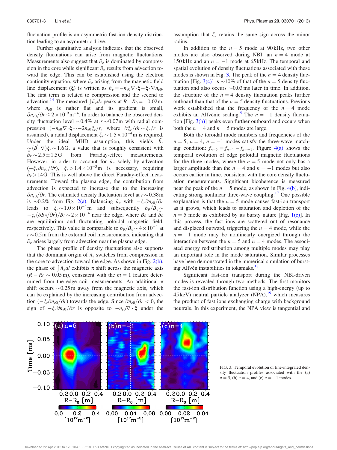fluctuation profile is an asymmetric fast-ion density distribution leading to an asymmetric drive.

Further quantitative analysis indicates that the observed density fluctuations can arise from magnetic fluctuations. Measurements also suggest that  $\tilde{n}_e$  is dominated by compression in the core while significant  $\tilde{n}_e$  results from advection toward the edge. This can be established using the electron continuity equation, where  $\tilde{n}_e$  arising from the magnetic field line displacement ( $\xi$ ) is written as  $\tilde{n}_e = -n_{e0}\nabla \cdot \xi - \xi \cdot \nabla n_{e0}$ . The first term is related to compression and the second to advection.<sup>[14](#page-4-0)</sup> The measured  $\int \tilde{n}_e dz$  peaks at  $R-R_0 = -0.02$ m, where  $n_{e0}$  is rather flat and its gradient is small,  $\partial n_{e0}/\partial r \leq 2 \times 10^{19}$  m<sup>-4</sup>. In order to balance the observed density fluctuation level  $\sim 0.4\%$  at  $r \sim 0.07$ m with radial compression  $(-n_{e0}\nabla \cdot \xi \sim -2n_{e0}\xi_r/r$ , where  $\partial \xi_r/\partial r \sim \xi_r/r$  is assumed), a radial displacement  $\xi_r \sim 1.5 \times 10^{-4}$  m is required. Under the ideal MHD assumption, this yields  $\tilde{b}_r$  $\approx (\vec{B} \cdot \nabla)\xi_r \sim 1.6G$ , a value that is roughly consistent with  $\bar{\tilde{b}}_r \sim$ from Faraday-effect measurements. However, in order to account for  $\tilde{n}_e$  solely by advection  $(-\xi_r \partial n_{e0}/\partial r)$ ,  $\xi_r > 1.4 \times 10^{-3}$  m is necessary, requiring  $b_r > 14G$ . This is well above the direct Faraday-effect measurements. Toward the plasma edge, the contribution from advection is expected to increase due to the increasing  $\partial n_{e0}/\partial r$ . The estimated density fluctuation level at  $r \sim 0.38$ m is ~0.2% from Fig. [2\(a\).](#page-2-0) Balancing  $\tilde{n}_e$  with  $-\xi_r \partial n_{e0}/\partial r$ leads to  $\xi_r \sim 1.0 \times 10^{-4}$  m and subsequently  $b_\theta/B_\theta \sim$  $-\xi_r(\partial B_\theta/\partial r)/B_\theta \sim 2 \times 10^{-4}$  near the edge, where  $B_\theta$  and  $\tilde{b}_\theta$ are equilibrium and fluctuating poloidal magnetic field, respectively. This value is comparable to  $\tilde{b}_{\theta}/B_{\theta} \sim 4 \times 10^{-4}$  at  $r \sim 0.5$  m from the external coil measurements, indicating that  $\tilde{n}_{e}$  arises largely from advection near the plasma edge.

The phase profile of density fluctuations also supports that the dominant origin of  $\tilde{n}_e$  switches from compression in the core to advection toward the edge. As shown in Fig. [2\(b\)](#page-2-0), the phase of  $\int \tilde{n}_e dl$  exhibits  $\pi$  shift across the magnetic axis  $(R - R_0 \sim 0.05 \,\text{m})$ , consistent with the  $m = 1$  feature determined from the edge coil measurements. An additional  $\pi$ shift occurs  $\sim 0.25$  m away from the magnetic axis, which can be explained by the increasing contribution from advection  $(-\xi_r \partial n_{e0}/\partial r)$  towards the edge. Since  $\partial n_{e0}/\partial r < 0$ , the sign of  $-\xi_r \partial n_{e0}/\partial r$  is opposite to  $-n_{e0}\nabla \cdot \xi$  under the assumption that  $\zeta_r$  retains the same sign across the minor radius.

In addition to the  $n = 5$  mode at 90 kHz, two other modes are also observed during NBI: an  $n = 4$  mode at 150 kHz and an  $n = -1$  mode at 65 kHz. The temporal and spatial evolution of density fluctuations associated with these modes is shown in Fig. 3. The peak of the  $n = 4$  density fluctuation [Fig. 3(c)] is  $\sim$ 10% of that of the *n* = 5 density fluctuation and also occurs  $\sim 0.03$  ms later in time. In addition, the structure of the  $n = 4$  density fluctuation peaks further outboard than that of the  $n = 5$  density fluctuations. Previous work established that the frequency of the  $n = 4$  mode exhibits an Alfvénic scaling.<sup>[5](#page-4-0)</sup> The  $n = -1$  density fluctuation [Fig. 3(b)] peaks even further outboard and occurs when both the  $n = 4$  and  $n = 5$  modes are large.

Both the toroidal mode numbers and frequencies of the  $n = 5$ ,  $n = 4$ ,  $n = -1$  modes satisfy the three-wave matching condition:  $f_{n=5} = f_{n=4} - f_{n=-1}$ . Figure [4\(a\)](#page-4-0) shows the temporal evolution of edge poloidal magnetic fluctuations for the three modes, where the  $n = 5$  mode not only has a larger amplitude than the  $n = 4$  and  $n = -1$  modes but also occurs earlier in time, consistent with the core density fluctuation measurements. Significant bicoherence is measured near the peak of the  $n = 5$  mode, as shown in Fig. [4\(b\),](#page-4-0) indi-cating strong nonlinear three-wave coupling.<sup>[17](#page-4-0)</sup> One possible explanation is that the  $n = 5$  mode causes fast-ion transport as it grows, which leads to saturation and depletion of the  $n = 5$  mode as exhibited by its bursty nature [Fig. [1\(c\)](#page-2-0)]. In this process, the fast ions are scattered out of resonance and displaced outward, triggering the  $n = 4$  mode, while the  $n = -1$  mode may be nonlinearly energized through the interaction between the  $n = 5$  and  $n = 4$  modes. The associated energy redistribution among multiple modes may play an important role in the mode saturation. Similar processes have been demonstrated in the numerical simulation of burst-ing Alfvén instabilities in tokamaks.<sup>[18](#page-4-0)</sup>

Significant fast-ion transport during the NBI-driven modes is revealed through two methods. The first monitors the fast-ion distribution function using a high-energy (up to 45 keV) neutral particle analyzer  $(NPA)$ ,<sup>[19](#page-4-0)</sup> which measures the product of fast ions exchanging charge with background neutrals. In this experiment, the NPA view is tangential and



FIG. 3. Temporal evolution of line-integrated density fluctuation profiles associated with the (a)  $n = 5$ , (b)  $n = 4$ , and (c)  $n = -1$  modes.